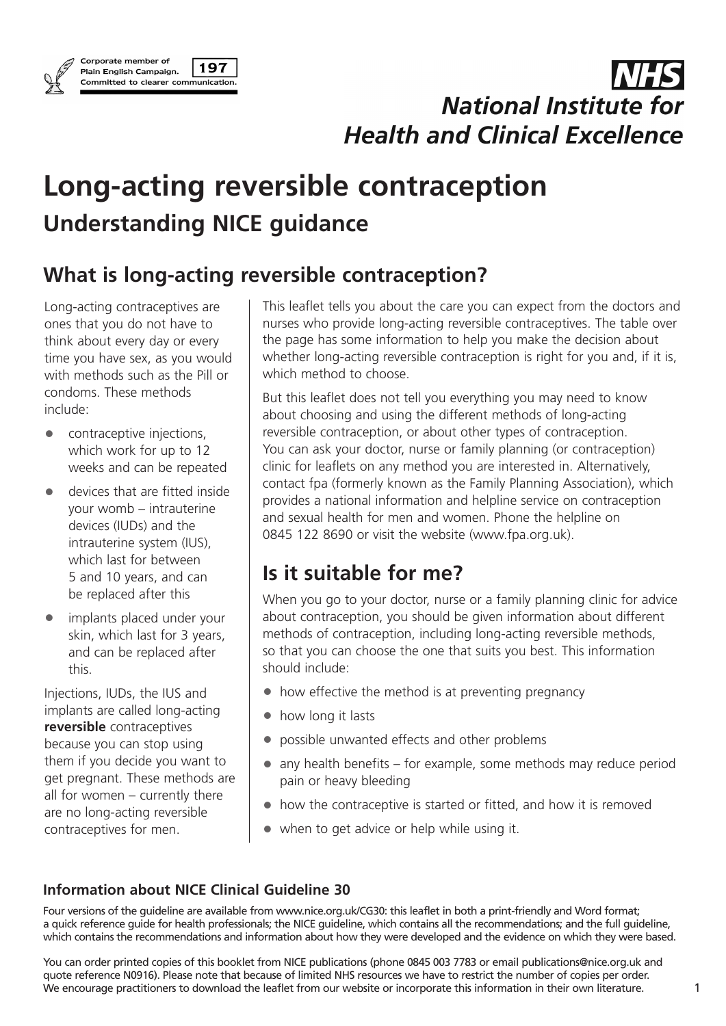

## **National Institute for Health and Clinical Excellence**

## **Long-acting reversible contraception Understanding NICE guidance**

## **What is long-acting reversible contraception?**

Long-acting contraceptives are ones that you do not have to think about every day or every time you have sex, as you would with methods such as the Pill or condoms. These methods include:

- contraceptive injections, which work for up to 12 weeks and can be repeated
- devices that are fitted inside your womb – intrauterine devices (IUDs) and the intrauterine system (IUS), which last for between 5 and 10 years, and can be replaced after this
- implants placed under your skin, which last for 3 years, and can be replaced after this.

Injections, IUDs, the IUS and implants are called long-acting **reversible** contraceptives because you can stop using them if you decide you want to get pregnant. These methods are all for women – currently there are no long-acting reversible contraceptives for men.

This leaflet tells you about the care you can expect from the doctors and nurses who provide long-acting reversible contraceptives. The table over the page has some information to help you make the decision about whether long-acting reversible contraception is right for you and, if it is, which method to choose.

But this leaflet does not tell you everything you may need to know about choosing and using the different methods of long-acting reversible contraception, or about other types of contraception. You can ask your doctor, nurse or family planning (or contraception) clinic for leaflets on any method you are interested in. Alternatively, contact fpa (formerly known as the Family Planning Association), which provides a national information and helpline service on contraception and sexual health for men and women. Phone the helpline on 0845 122 8690 or visit the website (www.fpa.org.uk).

## **Is it suitable for me?**

When you go to your doctor, nurse or a family planning clinic for advice about contraception, you should be given information about different methods of contraception, including long-acting reversible methods, so that you can choose the one that suits you best. This information should include:

- how effective the method is at preventing pregnancy
- how long it lasts
- possible unwanted effects and other problems
- any health benefits for example, some methods may reduce period pain or heavy bleeding
- how the contraceptive is started or fitted, and how it is removed
- when to get advice or help while using it.

### **Information about NICE Clinical Guideline 30**

Four versions of the guideline are available from www.nice.org.uk/CG30: this leaflet in both a print-friendly and Word format; a quick reference guide for health professionals; the NICE guideline, which contains all the recommendations; and the full guideline, which contains the recommendations and information about how they were developed and the evidence on which they were based.

You can order printed copies of this booklet from NICE publications (phone 0845 003 7783 or email publications@nice.org.uk and quote reference N0916). Please note that because of limited NHS resources we have to restrict the number of copies per order. We encourage practitioners to download the leaflet from our website or incorporate this information in their own literature.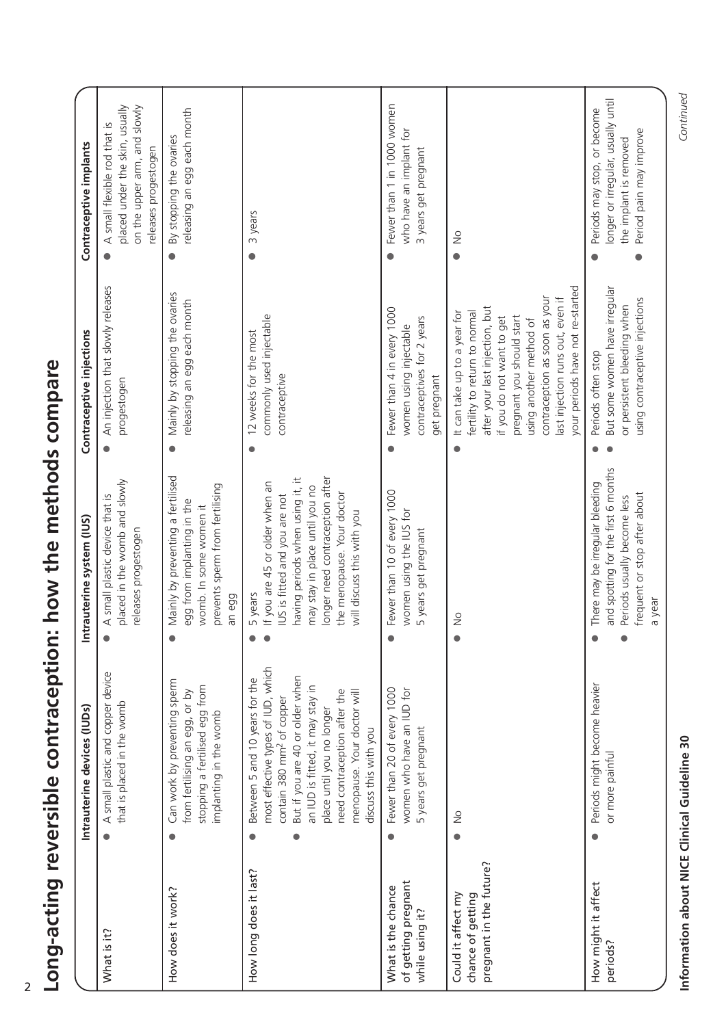|                                                                    | Intrauterine devices (IUDs)                                                                                                                                                                                                                                                                               | Intrauterine system (IUS)                                                                                                                                                                                                                                    | Contraceptive injections                                                                                                                                                                                                                                                                      | Contraceptive implants                                                                                                 |
|--------------------------------------------------------------------|-----------------------------------------------------------------------------------------------------------------------------------------------------------------------------------------------------------------------------------------------------------------------------------------------------------|--------------------------------------------------------------------------------------------------------------------------------------------------------------------------------------------------------------------------------------------------------------|-----------------------------------------------------------------------------------------------------------------------------------------------------------------------------------------------------------------------------------------------------------------------------------------------|------------------------------------------------------------------------------------------------------------------------|
| What is it?                                                        | A small plastic and copper device<br>that is placed in the womb                                                                                                                                                                                                                                           | placed in the womb and slowly<br>A small plastic device that is<br>releases progestogen                                                                                                                                                                      | An injection that slowly releases<br>progestogen                                                                                                                                                                                                                                              | placed under the skin, usually<br>on the upper arm, and slowly<br>A small flexible rod that is<br>releases progestogen |
| How does it work?                                                  | Can work by preventing sperm<br>stopping a fertilised egg from<br>from fertilising an egg, or by<br>implanting in the womb                                                                                                                                                                                | Mainly by preventing a fertilised<br>prevents sperm from fertilising<br>egg from implanting in the<br>womb. In some women it<br>an egg                                                                                                                       | Mainly by stopping the ovaries<br>releasing an egg each month                                                                                                                                                                                                                                 | releasing an egg each month<br>By stopping the ovaries                                                                 |
| How long does it last?                                             | most effective types of IUD, which<br>But if you are 40 or older when<br>Between 5 and 10 years for the<br>an IUD is fitted, it may stay in<br>need contraception after the<br>menopause. Your doctor will<br>contain 380 mm <sup>2</sup> of copper<br>place until you no longer<br>discuss this with you | longer need contraception after<br>having periods when using it, it<br>If you are 45 or older when an<br>may stay in place until you no<br>the menopause. Your doctor<br>IUS is fitted and you are not<br>will discuss this with you<br>5 years<br>$\bullet$ | commonly used injectable<br>12 weeks for the most<br>contraceptive                                                                                                                                                                                                                            | 3 years                                                                                                                |
| of getting pregnant<br>What is the chance<br>while using it?       | Fewer than 20 of every 1000<br>women who have an IUD for<br>5 years get pregnant                                                                                                                                                                                                                          | Fewer than 10 of every 1000<br>women using the IUS for<br>5 years get pregnant                                                                                                                                                                               | Fewer than 4 in every 1000<br>contraceptives for 2 years<br>women using injectable<br>get pregnant                                                                                                                                                                                            | Fewer than 1 in 1000 women<br>who have an implant for<br>3 years get pregnant                                          |
| pregnant in the future?<br>Could it affect my<br>chance of getting | $\frac{1}{2}$                                                                                                                                                                                                                                                                                             | $\frac{0}{2}$                                                                                                                                                                                                                                                | your periods have not re-started<br>contraception as soon as your<br>last injection runs out, even if<br>after your last injection, but<br>It can take up to a year for<br>fertility to return to normal<br>pregnant you should start<br>if you do not want to get<br>using another method of | $\frac{1}{2}$                                                                                                          |
| How might it affect<br>periods?                                    | Periods might become heavier<br>or more painful                                                                                                                                                                                                                                                           | and spotting for the first 6 months<br>There may be irregular bleeding<br>frequent or stop after about<br>Periods usually become less<br>a year<br>$\bullet$                                                                                                 | But some women have irregular<br>using contraceptive injections<br>or persistent bleeding when<br>Periods often stop                                                                                                                                                                          | longer or irregular, usually until<br>Periods may stop, or become<br>Period pain may improve<br>the implant is removed |

## Long-acting reversible contraception: how the methods compare **Long-acting reversible contraception: how the methods compare**

2

Continued *Continued*

Information about NICE Clinical Guideline 30 **Information about NICE Clinical Guideline 30**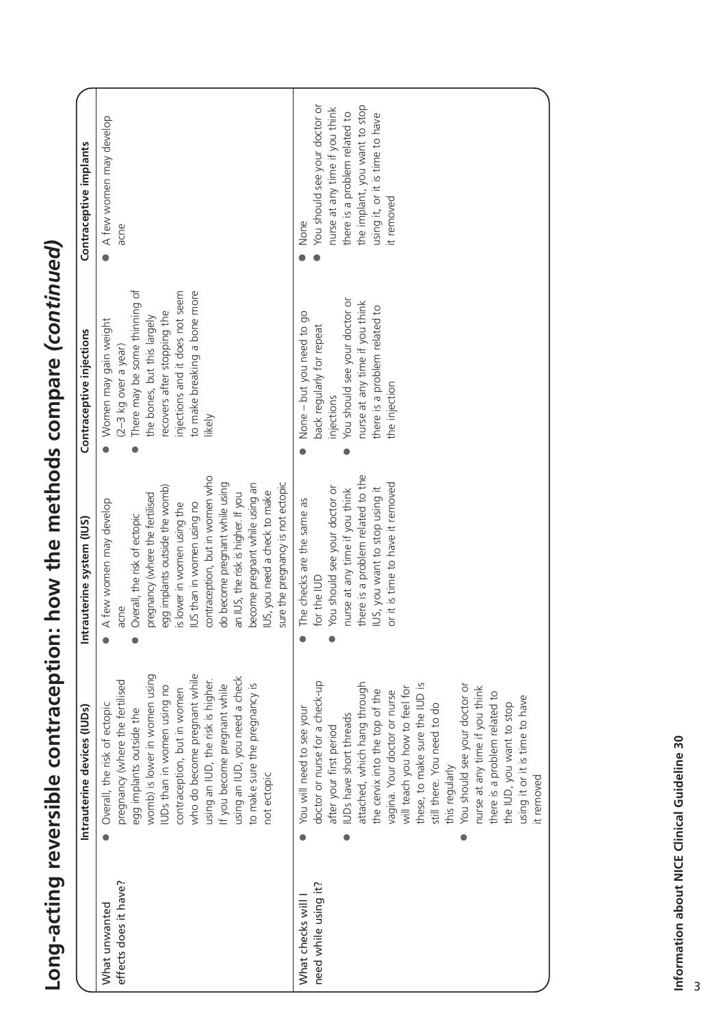|                                          | Intrauterine devices (IUDs)                                                                                                                                                                                                                                                                                                                                                                                                                                                                                              | ntrauterine system (IUS)                                                                                                                                                                                                                                                                                                                                                                                            | Contraceptive injections                                                                                                                                                                                                  | Contraceptive implants                                                                                                                                                                     |
|------------------------------------------|--------------------------------------------------------------------------------------------------------------------------------------------------------------------------------------------------------------------------------------------------------------------------------------------------------------------------------------------------------------------------------------------------------------------------------------------------------------------------------------------------------------------------|---------------------------------------------------------------------------------------------------------------------------------------------------------------------------------------------------------------------------------------------------------------------------------------------------------------------------------------------------------------------------------------------------------------------|---------------------------------------------------------------------------------------------------------------------------------------------------------------------------------------------------------------------------|--------------------------------------------------------------------------------------------------------------------------------------------------------------------------------------------|
| effects does it have?<br>What unwanted   | womb) is lower in women using<br>who do become pregnant while<br>using an IUD, you need a check<br>pregnancy (where the fertilised<br>using an IUD, the risk is higher.<br>the pregnancy is<br>If you become pregnant while<br>UDs than in women using no<br>contraception, but in women<br>Overall, the risk of ectopic<br>egg implants outside the<br>not ectopic                                                                                                                                                      | contraception, but in women who<br>sure the pregnancy is not ectopic<br>do become pregnant while using<br>become pregnant while using an<br>egg implants outside the womb)<br>IUS, you need a check to make<br>an IUS, the risk is higher. If you<br>pregnancy (where the fertilised<br>A few women may develop<br>US than in women using no<br>is lower in women using the<br>Overall, the risk of ectopic<br>acne | There may be some thinning of<br>injections and it does not seem<br>to make breaking a bone more<br>recovers after stopping the<br>the bones, but this largely<br>Women may gain weight<br>(2-3 kg over a year)<br>likely | A few women may develop<br>acne                                                                                                                                                            |
| need while using it?<br>What checks will | doctor or nurse for a check-up<br>attached, which hang through<br>these, to make sure the IUD is<br>You should see your doctor or<br>will teach you how to feel for<br>nurse at any time if you think<br>the cervix into the top of the<br>vagina. Your doctor or nurse<br>there is a problem related to<br>using it or it is time to have<br>the IUD, you want to stop<br>still there. You need to do<br>You will need to see your<br>UDs have short threads<br>after your first period<br>this regularly<br>it removed | there is a problem related to the<br>or it is time to have it removed<br>IUS, you want to stop using it<br>You should see your doctor or<br>nurse at any time if you think<br>The checks are the same as<br>for the IUD                                                                                                                                                                                             | You should see your doctor or<br>nurse at any time if you think<br>there is a problem related to<br>None - but you need to go<br>back regularly for repeat<br>the injection<br>injections                                 | You should see your doctor or<br>the implant, you want to stop<br>nurse at any time if you think<br>there is a problem related to<br>using it, or it is time to have<br>it removed<br>None |

# Long-acting reversible contraception: how the methods compare (continued) **Long-acting reversible contraception: how the methods compare** *(continued)*